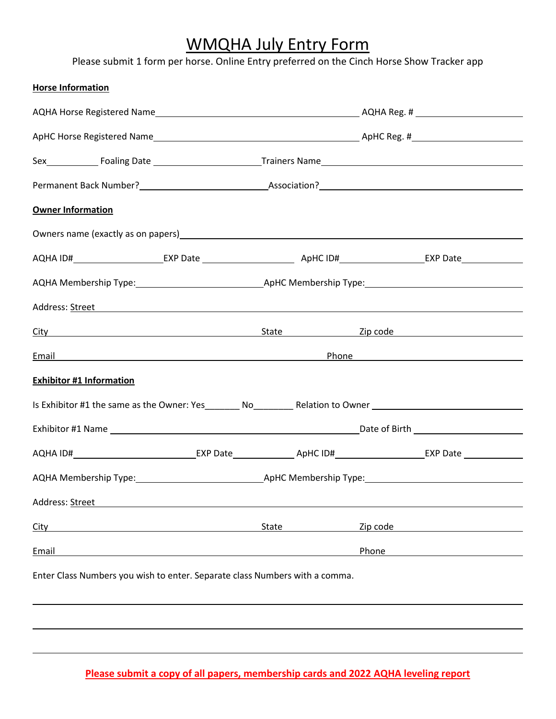# WMQHA July Entry Form

Please submit 1 form per horse. Online Entry preferred on the Cinch Horse Show Tracker app

| <b>Horse Information</b>                                                                                                                                                                                                       |                                                                                                                                                                                                                                     |       |  |          |  |
|--------------------------------------------------------------------------------------------------------------------------------------------------------------------------------------------------------------------------------|-------------------------------------------------------------------------------------------------------------------------------------------------------------------------------------------------------------------------------------|-------|--|----------|--|
|                                                                                                                                                                                                                                |                                                                                                                                                                                                                                     |       |  |          |  |
|                                                                                                                                                                                                                                |                                                                                                                                                                                                                                     |       |  |          |  |
|                                                                                                                                                                                                                                |                                                                                                                                                                                                                                     |       |  |          |  |
|                                                                                                                                                                                                                                |                                                                                                                                                                                                                                     |       |  |          |  |
| <b>Owner Information</b>                                                                                                                                                                                                       |                                                                                                                                                                                                                                     |       |  |          |  |
| Owners name (exactly as on papers) example and the set of the set of the set of the set of the set of the set of the set of the set of the set of the set of the set of the set of the set of the set of the set of the set of |                                                                                                                                                                                                                                     |       |  |          |  |
| AQHA ID#________________________EXP Date __________________________________ApHC ID#__________________________EXP Date                                                                                                          |                                                                                                                                                                                                                                     |       |  |          |  |
|                                                                                                                                                                                                                                |                                                                                                                                                                                                                                     |       |  |          |  |
| Address: Street Address: According to the Address: Address: Address: Address: Address: Address: Address: Address: Address: Address: Address: Address: Address: Address: Address: Address: Address: Address: Address: Address:  |                                                                                                                                                                                                                                     |       |  |          |  |
| City City Content Contract City Content City Content City Content City Content City Content City Content City Content City Content City Content City Content City Content City Content City Content City Content City Content  |                                                                                                                                                                                                                                     |       |  |          |  |
|                                                                                                                                                                                                                                | <u>Email Phone</u> Phone 2014 The Contract of the Contract of the Contract of the Contract of the Contract of the Contract of the Contract of the Contract of the Contract of the Contract of the Contract of the Contract of the C |       |  |          |  |
| <b>Exhibitor #1 Information</b>                                                                                                                                                                                                |                                                                                                                                                                                                                                     |       |  |          |  |
| Is Exhibitor #1 the same as the Owner: Yes__________ No____________ Relation to Owner ________________________                                                                                                                 |                                                                                                                                                                                                                                     |       |  |          |  |
|                                                                                                                                                                                                                                |                                                                                                                                                                                                                                     |       |  |          |  |
|                                                                                                                                                                                                                                |                                                                                                                                                                                                                                     |       |  |          |  |
|                                                                                                                                                                                                                                |                                                                                                                                                                                                                                     |       |  |          |  |
| Address: Street                                                                                                                                                                                                                |                                                                                                                                                                                                                                     |       |  |          |  |
| City                                                                                                                                                                                                                           |                                                                                                                                                                                                                                     | State |  | Zip code |  |
| Email                                                                                                                                                                                                                          |                                                                                                                                                                                                                                     |       |  | Phone    |  |
| Enter Class Numbers you wish to enter. Separate class Numbers with a comma.                                                                                                                                                    |                                                                                                                                                                                                                                     |       |  |          |  |
|                                                                                                                                                                                                                                |                                                                                                                                                                                                                                     |       |  |          |  |
|                                                                                                                                                                                                                                |                                                                                                                                                                                                                                     |       |  |          |  |

**Please submit a copy of all papers, membership cards and 2022 AQHA leveling report**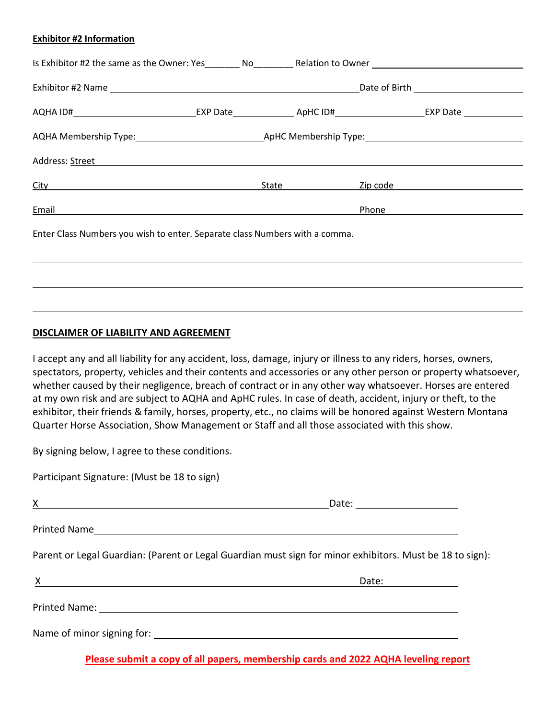#### **Exhibitor #2 Information**

|                                                                                                                |  |                    | Is Exhibitor #2 the same as the Owner: Yes No Relation to Owner                                                         |
|----------------------------------------------------------------------------------------------------------------|--|--------------------|-------------------------------------------------------------------------------------------------------------------------|
|                                                                                                                |  |                    |                                                                                                                         |
|                                                                                                                |  |                    | AQHA ID#________________________________EXP Date________________ApHC ID#_________________________EXP Date _____________ |
|                                                                                                                |  |                    |                                                                                                                         |
| Address: Street Address: All Annual Address: All Annual Address: All Annual Address: All Annual Address: All A |  |                    |                                                                                                                         |
| <u>City</u> <b>City City City City City City City</b>                                                          |  | State ____________ | Zip code and the state of the state of the state of the state of the state of the state of the state of the sta         |
| Email                                                                                                          |  |                    | Phone                                                                                                                   |
| Enter Class Numbers you wish to enter. Separate class Numbers with a comma.                                    |  |                    |                                                                                                                         |
|                                                                                                                |  |                    |                                                                                                                         |

#### **DISCLAIMER OF LIABILITY AND AGREEMENT**

I accept any and all liability for any accident, loss, damage, injury or illness to any riders, horses, owners, spectators, property, vehicles and their contents and accessories or any other person or property whatsoever, whether caused by their negligence, breach of contract or in any other way whatsoever. Horses are entered at my own risk and are subject to AQHA and ApHC rules. In case of death, accident, injury or theft, to the exhibitor, their friends & family, horses, property, etc., no claims will be honored against Western Montana Quarter Horse Association, Show Management or Staff and all those associated with this show.

By signing below, I agree to these conditions.

Participant Signature: (Must be 18 to sign)

| $\mathbf{X}$ and $\mathbf{X}$ are the set of $\mathbf{X}$ and $\mathbf{X}$ are the set of $\mathbf{X}$ and $\mathbf{X}$ are the set of $\mathbf{X}$ | Date: ______________________                                                                             |
|-----------------------------------------------------------------------------------------------------------------------------------------------------|----------------------------------------------------------------------------------------------------------|
|                                                                                                                                                     |                                                                                                          |
|                                                                                                                                                     | Parent or Legal Guardian: (Parent or Legal Guardian must sign for minor exhibitors. Must be 18 to sign): |
| $X = 1$                                                                                                                                             |                                                                                                          |
|                                                                                                                                                     |                                                                                                          |
|                                                                                                                                                     |                                                                                                          |

**Please submit a copy of all papers, membership cards and 2022 AQHA leveling report**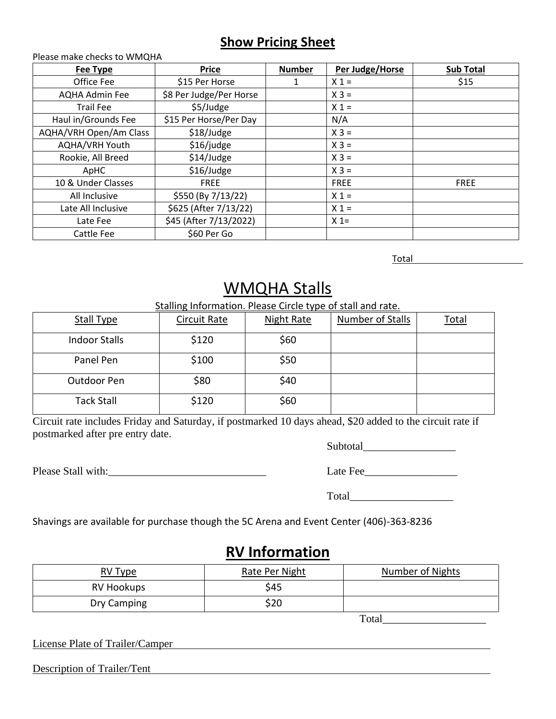### **Show Pricing Sheet**

Please make checks to WMQHA **Fee Type Price Price Number Per Judge/Horse Sub Total** Office Fee \$15 Per Horse 1 X 1 = \$15 AQHA Admin Fee  $\vert$  \$8 Per Judge/Per Horse  $\vert$  X 3 = Trail Fee  $\frac{1}{2}$  \$5/Judge  $\frac{1}{2}$   $\frac{1}{2}$   $\frac{1}{2}$ Haul in/Grounds Fee  $\begin{vmatrix} 515 \text{ Per Horse/Per Day} \end{vmatrix}$  N/A  $AQHA/VRH$  Open/Am Class  $\begin{vmatrix} 1 & 2 & 3 \\ 0 & 0 & 4 \end{vmatrix}$   $\begin{vmatrix} 2 & 3 & 4 \\ 0 & 0 & 0 \\ 0 & 0 & 0 \end{vmatrix}$   $\begin{vmatrix} 2 & 3 & 4 \\ 0 & 0 & 0 \\ 0 & 0 & 0 \end{vmatrix}$  $AQHA/VRH$  Youth  $\begin{vmatrix} 516 \end{vmatrix}$  judge  $\begin{vmatrix} 2 & 3 \end{vmatrix}$  X 3 = Rookie, All Breed  $\begin{array}{c|c}\n & \text{514/Judge} \\
& \text{214/Judge}\n\end{array}$  X 3 = ApHC \$16/Judge X 3 = 10 & Under Classes | FREE FREE FREE FREE All Inclusive  $\begin{vmatrix} 5550 & (By 7/13/22) \\ 1 & 2 & 3 \end{vmatrix}$   $\begin{vmatrix} 1 & 3 & 1 \\ 2 & 3 & 4 \end{vmatrix}$ Late All Inclusive  $\begin{vmatrix} 5625 \text{ (After } 7/13/22) \end{vmatrix}$   $\begin{vmatrix} x_1 = 0 \end{vmatrix}$ Late Fee  $\begin{array}{|c|c|c|c|c|c|} \hline & & 545 (After 7/13/2022) & & & \times 1= & \ \hline \end{array}$ Cattle Fee | \$60 Per Go

Total

# WMQHA Stalls

#### Stalling Information. Please Circle type of stall and rate.

| <b>Stall Type</b>    | Circuit Rate | <b>Night Rate</b> | Number of Stalls | <u>Total</u> |
|----------------------|--------------|-------------------|------------------|--------------|
| <b>Indoor Stalls</b> | \$120        | \$60              |                  |              |
| Panel Pen            | \$100        | \$50              |                  |              |
| Outdoor Pen          | \$80         | \$40              |                  |              |
| <b>Tack Stall</b>    | \$120        | \$60              |                  |              |

Circuit rate includes Friday and Saturday, if postmarked 10 days ahead, \$20 added to the circuit rate if postmarked after pre entry date.

Please Stall with: The state Fee

| Subtotal    |  |  |
|-------------|--|--|
|             |  |  |
| $\mathbf r$ |  |  |

Total

Shavings are available for purchase though the 5C Arena and Event Center (406)-363-8236

### **RV Information**

| <u>RV Type</u>    | Rate Per Night | Number of Nights |
|-------------------|----------------|------------------|
| <b>RV Hookups</b> | \$45           |                  |
| Dry Camping       | \$20           |                  |

Total

License Plate of Trailer/Camper

Description of Trailer/Tent